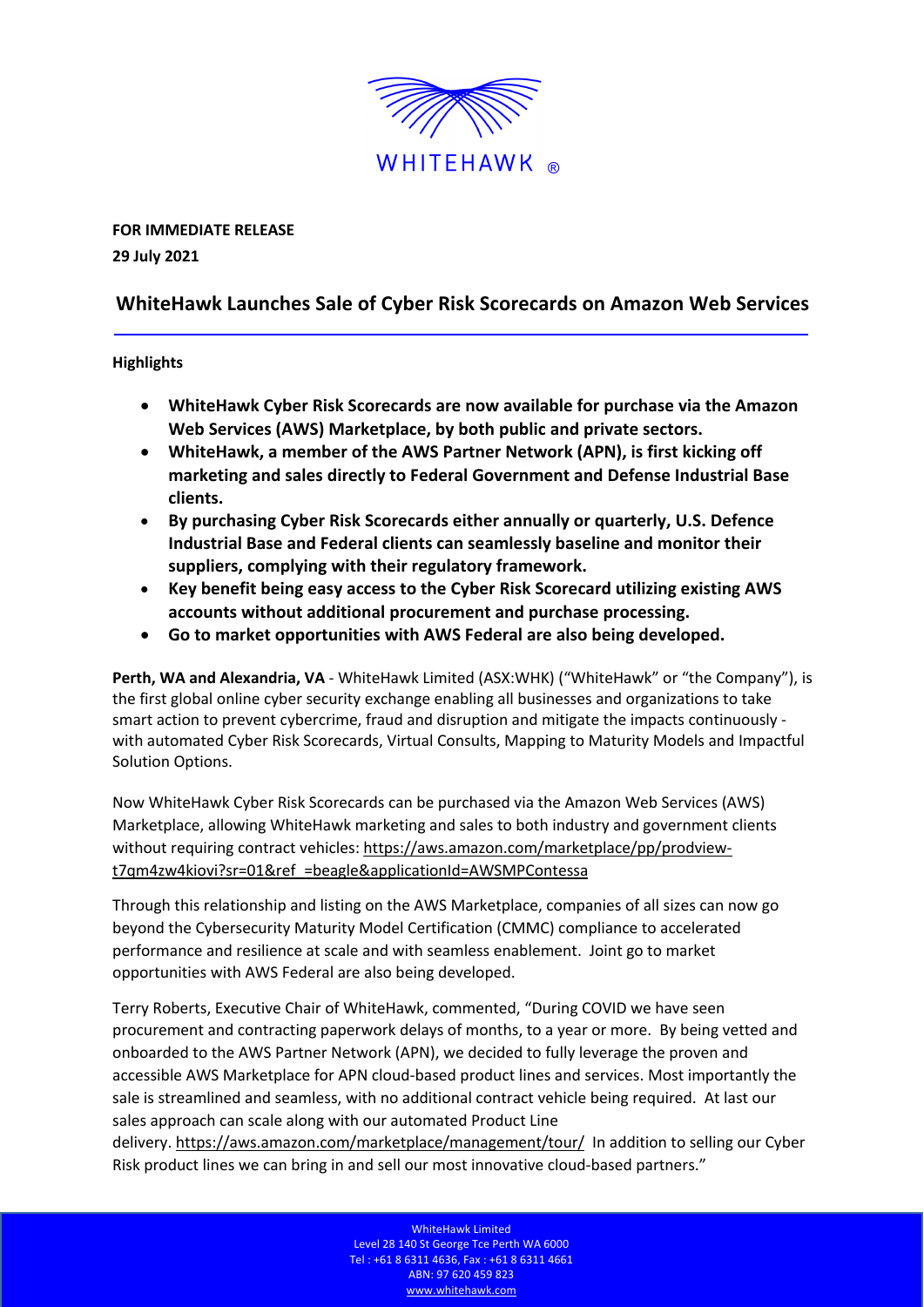

**FOR IMMEDIATE RELEASE 29 July 2021**

## **WhiteHawk Launches Sale of Cyber Risk Scorecards on Amazon Web Services**

## **Highlights**

- **WhiteHawk Cyber Risk Scorecards are now available for purchase via the Amazon Web Services (AWS) Marketplace, by both public and private sectors.**
- **WhiteHawk, a member of the AWS Partner Network (APN), is first kicking off marketing and sales directly to Federal Government and Defense Industrial Base clients.**
- **By purchasing Cyber Risk Scorecards either annually or quarterly, U.S. Defence Industrial Base and Federal clients can seamlessly baseline and monitor their suppliers, complying with their regulatory framework.**
- **Key benefit being easy access to the Cyber Risk Scorecard utilizing existing AWS accounts without additional procurement and purchase processing.**
- **Go to market opportunities with AWS Federal are also being developed.**

**Perth, WA and Alexandria, VA** - WhiteHawk Limited (ASX:WHK) ("WhiteHawk" or "the Company"), is the first global online cyber security exchange enabling all businesses and organizations to take smart action to prevent cybercrime, fraud and disruption and mitigate the impacts continuously with automated Cyber Risk Scorecards, Virtual Consults, Mapping to Maturity Models and Impactful Solution Options.

Now WhiteHawk Cyber Risk Scorecards can be purchased via the Amazon Web Services (AWS) Marketplace, allowing WhiteHawk marketing and sales to both industry and government clients without requiring contract vehicles: https://aws.amazon.com/marketplace/pp/prodview[t7qm4zw4kiovi?sr=01&ref\\_=beagle&applicationId=AWSMPContessa](https://aws.amazon.com/marketplace/pp/prodview-t7qm4zw4kiovi?sr=01&ref_=beagle&applicationId=AWSMPContessa)

Through this relationship and listing on the AWS Marketplace, companies of all sizes can now go beyond the Cybersecurity Maturity Model Certification (CMMC) compliance to accelerated performance and resilience at scale and with seamless enablement. Joint go to market opportunities with AWS Federal are also being developed.

Terry Roberts, Executive Chair of WhiteHawk, commented, "During COVID we have seen procurement and contracting paperwork delays of months, to a year or more. By being vetted and onboarded to the AWS Partner Network (APN), we decided to fully leverage the proven and accessible AWS Marketplace for APN cloud-based product lines and services. Most importantly the sale is streamlined and seamless, with no additional contract vehicle being required. At last our sales approach can scale along with our automated Product Line

delivery. https://aws.amazon.com/marketplace/management/tour/ In addition to selling our Cyber Risk product lines we can bring in and sell our most innovative cloud-based partners."

> WhiteHawk Limited Level 28 140 St George Tce Perth WA 6000 Tel : +61 8 6311 4636, Fax : +61 8 6311 4661 ABN: 97 620 459 823 www.whitehawk.com